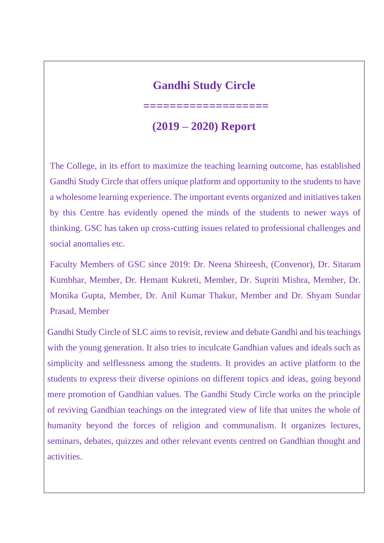## **Gandhi Study Circle**

<del>=====================</del>=

## **(2019 – 2020) Report**

The College, in its effort to maximize the teaching learning outcome, has established Gandhi Study Circle that offers unique platform and opportunity to the students to have a wholesome learning experience. The important events organized and initiatives taken by this Centre has evidently opened the minds of the students to newer ways of thinking. GSC has taken up cross-cutting issues related to professional challenges and social anomalies etc.

Faculty Members of GSC since 2019: Dr. Neena Shireesh, (Convenor), Dr. Sitaram Kumbhar, Member, Dr. Hemant Kukreti, Member, Dr. Supriti Mishra, Member, Dr. Monika Gupta, Member, Dr. Anil Kumar Thakur, Member and Dr. Shyam Sundar Prasad, Member

Gandhi Study Circle of SLC aims to revisit, review and debate Gandhi and his teachings with the young generation. It also tries to inculcate Gandhian values and ideals such as simplicity and selflessness among the students. It provides an active platform to the students to express their diverse opinions on different topics and ideas, going beyond mere promotion of Gandhian values. The Gandhi Study Circle works on the principle of reviving Gandhian teachings on the integrated view of life that unites the whole of humanity beyond the forces of religion and communalism. It organizes lectures, seminars, debates, quizzes and other relevant events centred on Gandhian thought and activities.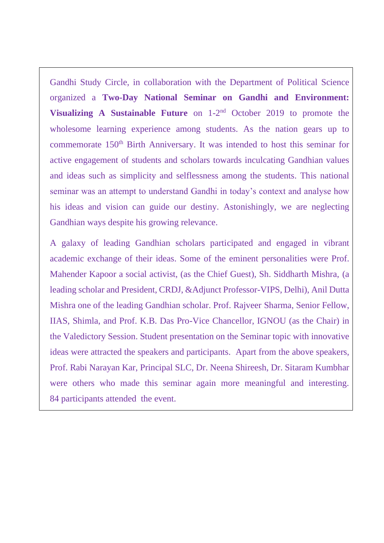Gandhi Study Circle, in collaboration with the Department of Political Science organized a **Two-Day National Seminar on Gandhi and Environment: Visualizing A Sustainable Future** on 1-2<sup>nd</sup> October 2019 to promote the wholesome learning experience among students. As the nation gears up to commemorate 150<sup>th</sup> Birth Anniversary. It was intended to host this seminar for active engagement of students and scholars towards inculcating Gandhian values and ideas such as simplicity and selflessness among the students. This national seminar was an attempt to understand Gandhi in today's context and analyse how his ideas and vision can guide our destiny. Astonishingly, we are neglecting Gandhian ways despite his growing relevance.

A galaxy of leading Gandhian scholars participated and engaged in vibrant academic exchange of their ideas. Some of the eminent personalities were Prof. Mahender Kapoor a social activist, (as the Chief Guest), Sh. Siddharth Mishra, (a leading scholar and President, CRDJ, &Adjunct Professor-VIPS, Delhi), Anil Dutta Mishra one of the leading Gandhian scholar. Prof. Rajveer Sharma, Senior Fellow, IIAS, Shimla, and Prof. K.B. Das Pro-Vice Chancellor, IGNOU (as the Chair) in the Valedictory Session. Student presentation on the Seminar topic with innovative ideas were attracted the speakers and participants. Apart from the above speakers, Prof. Rabi Narayan Kar, Principal SLC, Dr. Neena Shireesh, Dr. Sitaram Kumbhar were others who made this seminar again more meaningful and interesting. 84 participants attended the event.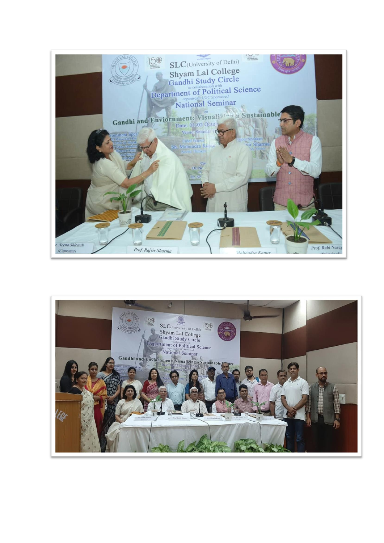

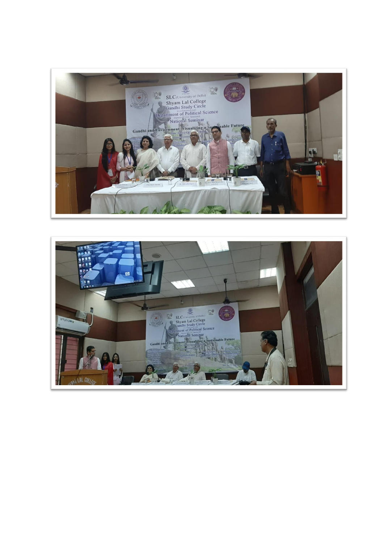